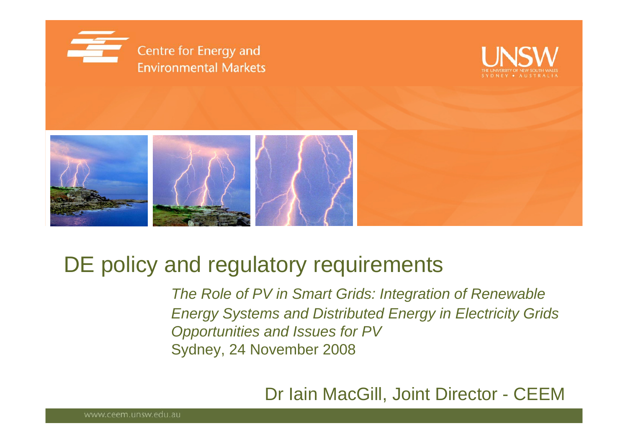





#### DE policy and regulatory requirements

*The Role of PV in Smart Grids: Integration of Renewable Energy Systems and Distributed Energy in Electricity Grids Opportunities and Issues for PV*  Sydney, 24 November 2008

Dr Iain MacGill, Joint Director - CEEM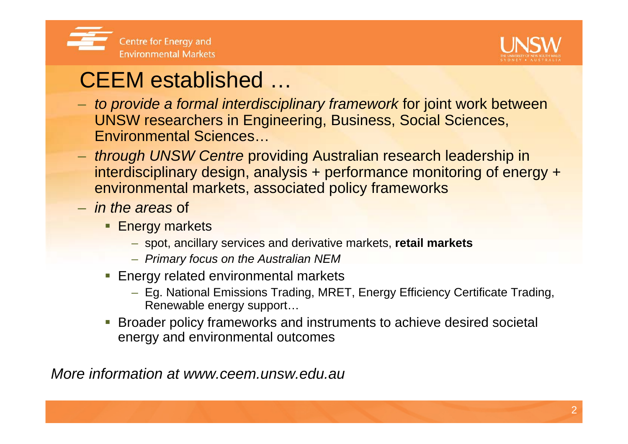



#### CEEM established …

- *to provide a formal interdisciplinary framework* for joint work between UNSW researchers in Engineering, Business, Social Sciences, Environmental Sciences…
- *through UNSW Centre* providing Australian research leadership in interdisciplinary design, analysis + performance monitoring of energy + environmental markets, associated policy frameworks
- *in the areas* of
	- **Energy markets** 
		- spot, ancillary services and derivative markets, **retail markets**
		- *Primary focus on the Australian NEM*
	- **Energy related environmental markets** 
		- Eg. National Emissions Trading, MRET, Energy Efficiency Certificate Trading, Renewable energy support…
	- **Broader policy frameworks and instruments to achieve desired societal** energy and environmental outcomes

*More information at www.ceem.unsw.edu.au*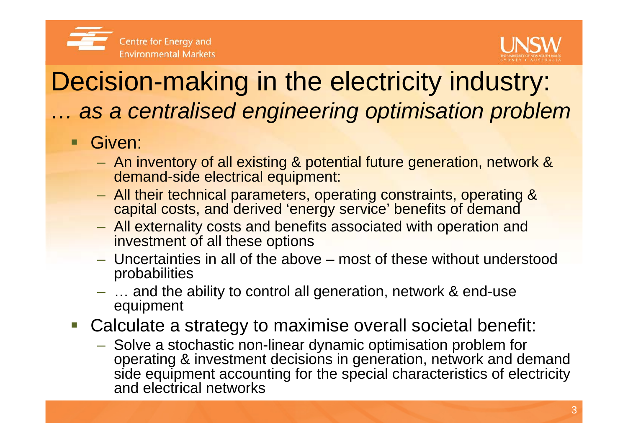



## Decision-making in the electricity industry: *… as a centralised engineering optimisation problem*

#### п Given:

- An inventory of all existing & potential future generation, network & demand-side electrical equipment:
- All their technical parameters, operating constraints, operating & capital costs, and derived 'energy service' benefits of demand
- All externality costs and benefits associated with operation and investment of all these options
- Uncertainties in all of the above most of these without understood probabilities
- … and the ability to control all generation, network & end-use equipment
- $\mathcal{L}_{\mathcal{A}}$  Calculate a strategy to maximise overall societal benefit:
	- Solve a stochastic non-linear dynamic optimisation problem for operating & investment decisions in generation, network and demand side equipment accounting for the special characteristics of electricity and electrical networks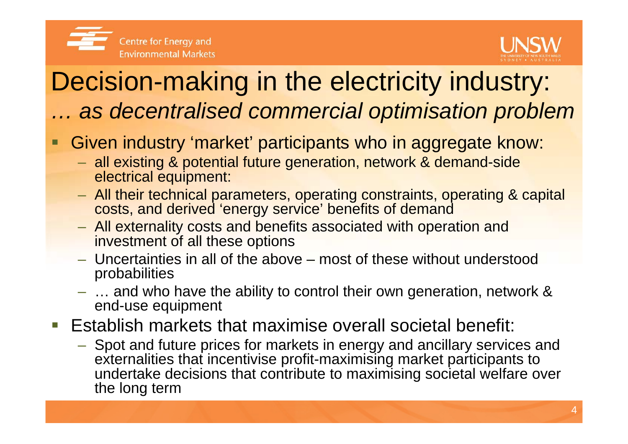



## Decision-making in the electricity industry: *… as decentralised commercial optimisation problem*

- Ξ Given industry 'market' participants who in aggregate know:
	- all existing & potential future generation, network & demand-side electrical equipment:
	- All their technical parameters, operating constraints, operating & capital costs, and derived 'energy service' benefits of demand
	- All externality costs and benefits associated with operation and investment of all these options
	- Uncertainties in all of the above most of these without understood probabilities
	- $-$  ... and who have the ability to control their own generation, network  $\&$ end-use equipment
- Ξ Establish markets that maximise overall societal benefit:
	- Spot and future prices for markets in energy and ancillary services and externalities that incentivise profit-maximising market participants to undertake decisions that contribute to maximising societal welfare over the long term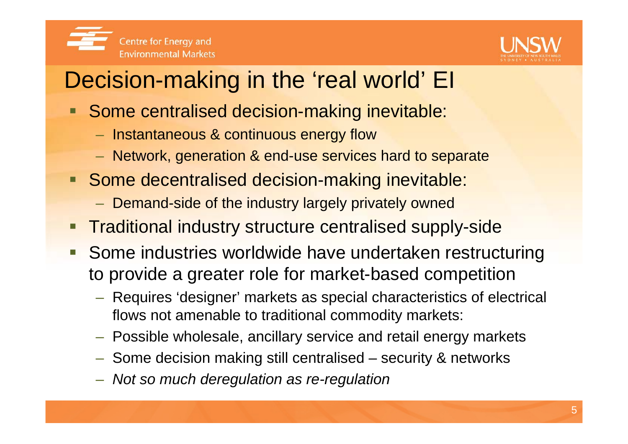



## Decision-making in the 'real world' EI

- $\blacksquare$  Some centralised decision-making inevitable:
	- Instantaneous & continuous energy flow
	- Network, generation & end-use services hard to separate
- **Some decentralised decision-making inevitable:** 
	- Demand-side of the industry largely privately owned
- e<br>Santa Traditional industry structure centralised supply-side
- Ξ Some industries worldwide have undertaken restructuring to provide a greater role for market-based competition
	- Requires 'designer' markets as special characteristics of electrical flows not amenable to traditional commodity markets:
	- Possible wholesale, ancillary service and retail energy markets
	- Some decision making still centralised security & networks
	- *Not so much deregulation as re-regulation*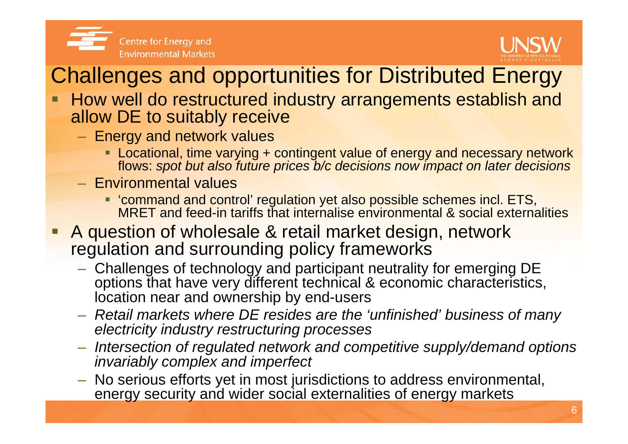



#### Challenges and opportunities for Distributed Energy

- How well do restructured industry arrangements establish and allow DE to suitably receive
	- Energy and network values
		- **Locational, time varying + contingent value of energy and necessary network** flows: *spot but also future prices b/c decisions now impact on later decisions*
	- Environmental values
		- 'command and control' regulation yet also possible schemes incl. ETS, MRET and feed-in tariffs that internalise environmental & social externalities
- Ξ A question of wholesale & retail market design, network regulation and surrounding policy frameworks
	- Challenges of technology and participant neutrality for emerging DE options that have very different technical & economic characteristics, location near and ownership by end-users
	- *Retail markets where DE resides are the 'unfinished' business of many electricity industry restructuring processes*
	- *Intersection of regulated network and competitive supply/demand options invariably complex and imperfect*
	- No serious efforts yet in most jurisdictions to address environmental, energy security and wider social externalities of energy markets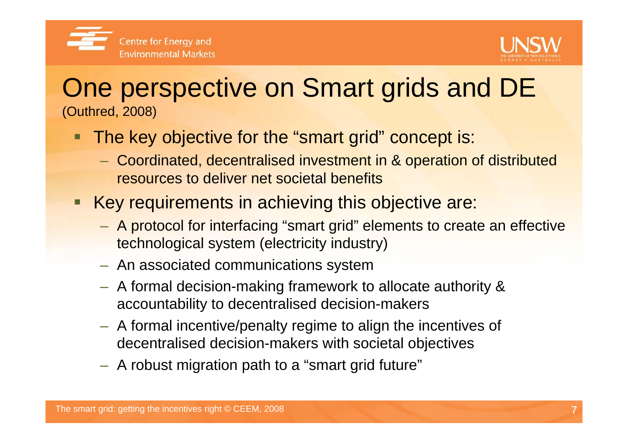



#### One perspective on Smart grids and DE (Outhred, 2008)

- The key objective for the "smart grid" concept is:
	- Coordinated, decentralised investment in & operation of distributed resources to deliver net societal benefits
- Ξ Key requirements in achieving this objective are:
	- A protocol for interfacing "smart grid" elements to create an effective technological system (electricity industry)
	- An associated communications system
	- A formal decision-making framework to allocate authority & accountability to decentralised decision-makers
	- A formal incentive/penalty regime to align the incentives of decentralised decision-makers with societal objectives
	- A robust migration path to a "smart grid future"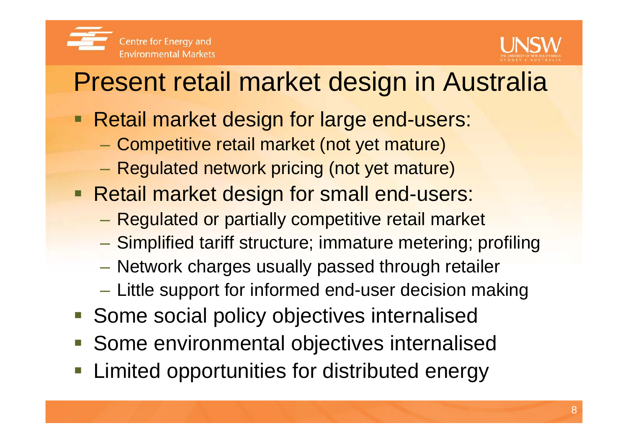



# Present retail market design in Australia

- Г Retail market design for large end-users:
	- Competitive retail market (not yet mature)
	- Regulated network pricing (not yet mature)
- **Retail market design for small end-users:** 
	- Regulated or partially competitive retail market
	- Simplified tariff structure; immature metering; profiling
	- Network charges usually passed through retailer
	- Little support for informed end-user decision making
- **Some social policy objectives internalised**
- p. Some environmental objectives internalised
- **EXTERG** Deportunities for distributed energy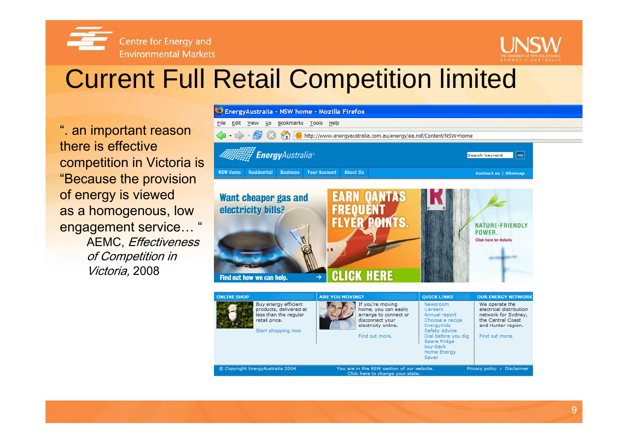



## Current Full Retail Competition limited

". an important reason there is effective competition in Victoria is "Because the provision of energy is viewed as a homogenous, low engagement service… "

> AEMC, Effectiveness of Competition in Victoria, 2008



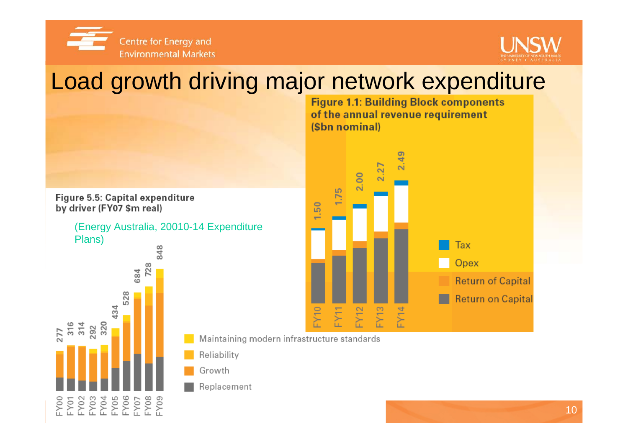



## Load growth driving major network expenditure

**Figure 1.1: Building Block components** of the annual revenue requirement (\$bn nominal)



(Energy Australia, 20010-14 Expenditure Plans)





- Maintaining modern infrastructure standards
- Reliability
- Growth
- Replacement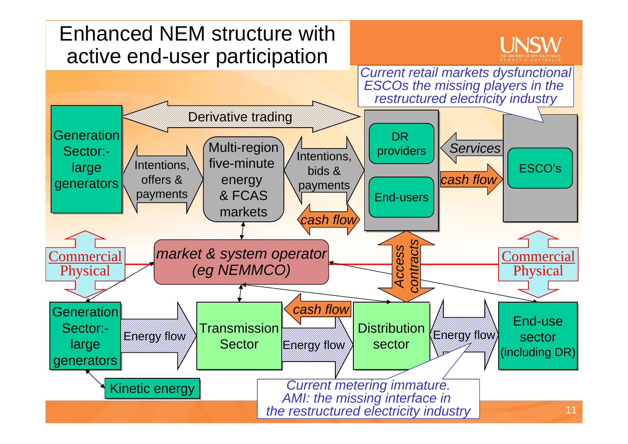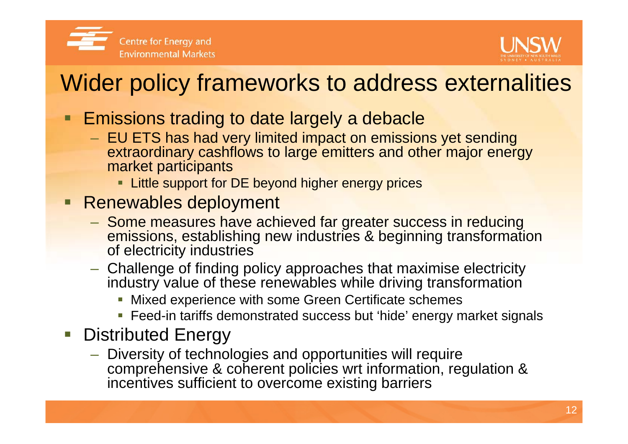



## Wider policy frameworks to address externalities

- **Emissions trading to date largely a debacle** 
	- EU ETS has had very limited impact on emissions yet sending extraordinary cashflows to large emitters and other major energy market participants
		- **Little support for DE beyond higher energy prices**

#### **Renewables deployment**

- Some measures have achieved far greater success in reducing emissions, establishing new industries & beginning transformation of electricity industries
- Challenge of finding policy approaches that maximise electricity industry value of these renewables while driving transformation
	- Mixed experience with some Green Certificate schemes
	- **Feed-in tariffs demonstrated success but 'hide' energy market signals**
- **Distributed Energy** 
	- Diversity of technologies and opportunities will require comprehensive & coherent policies wrt information, regulation & incentives sufficient to overcome existing barriers